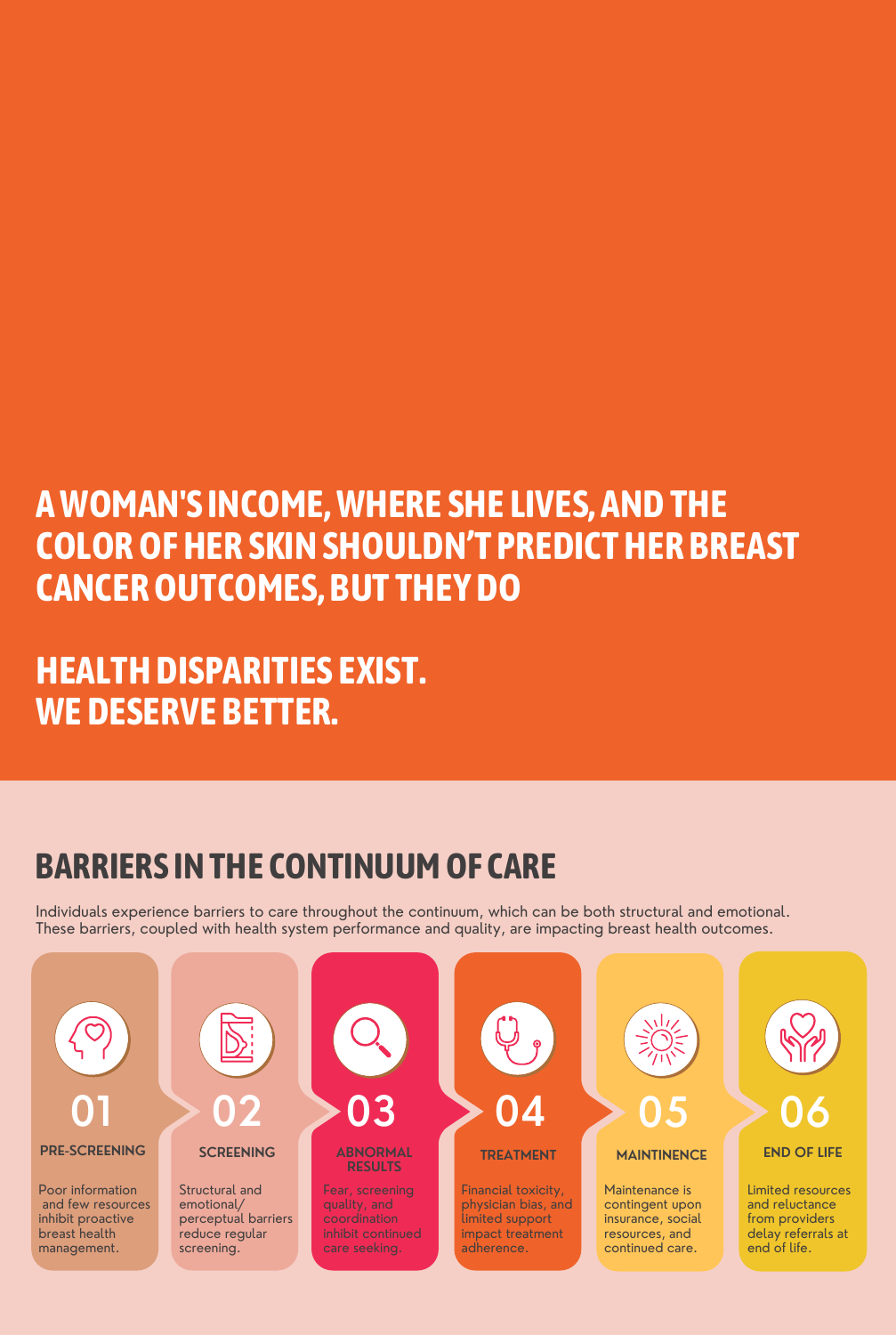Maintenance is contingent upon insurance, social resources, and continued care.

Poor information and few resources inhibit proactive breast health management.



Limited resources and reluctance from providers delay referrals at end of life.

Structural and emotional/ perceptual barriers reduce regular screening.

#### **RESULTS**

Fear, screening quality, and coordination inhibit continued care seeking.

Financial toxicity, physician bias, and limited support impact treatment adherence.

## **BARRIERS INTHE CONTINUUMOF CARE**

Individuals experience barriers to care throughout the continuum, which can be both structural and emotional. These barriers, coupled with health system performance and quality, are impacting breast health outcomes.

# **AWOMAN'S INCOME,WHERE SHE LIVES, ANDTHE COLOROFHER SKINSHOULDN'T PREDICTHER BREAST CANCEROUTCOMES, BUT THEYDO**

# **HEALTHDISPARITIES EXIST. WEDESERVE BETTER.**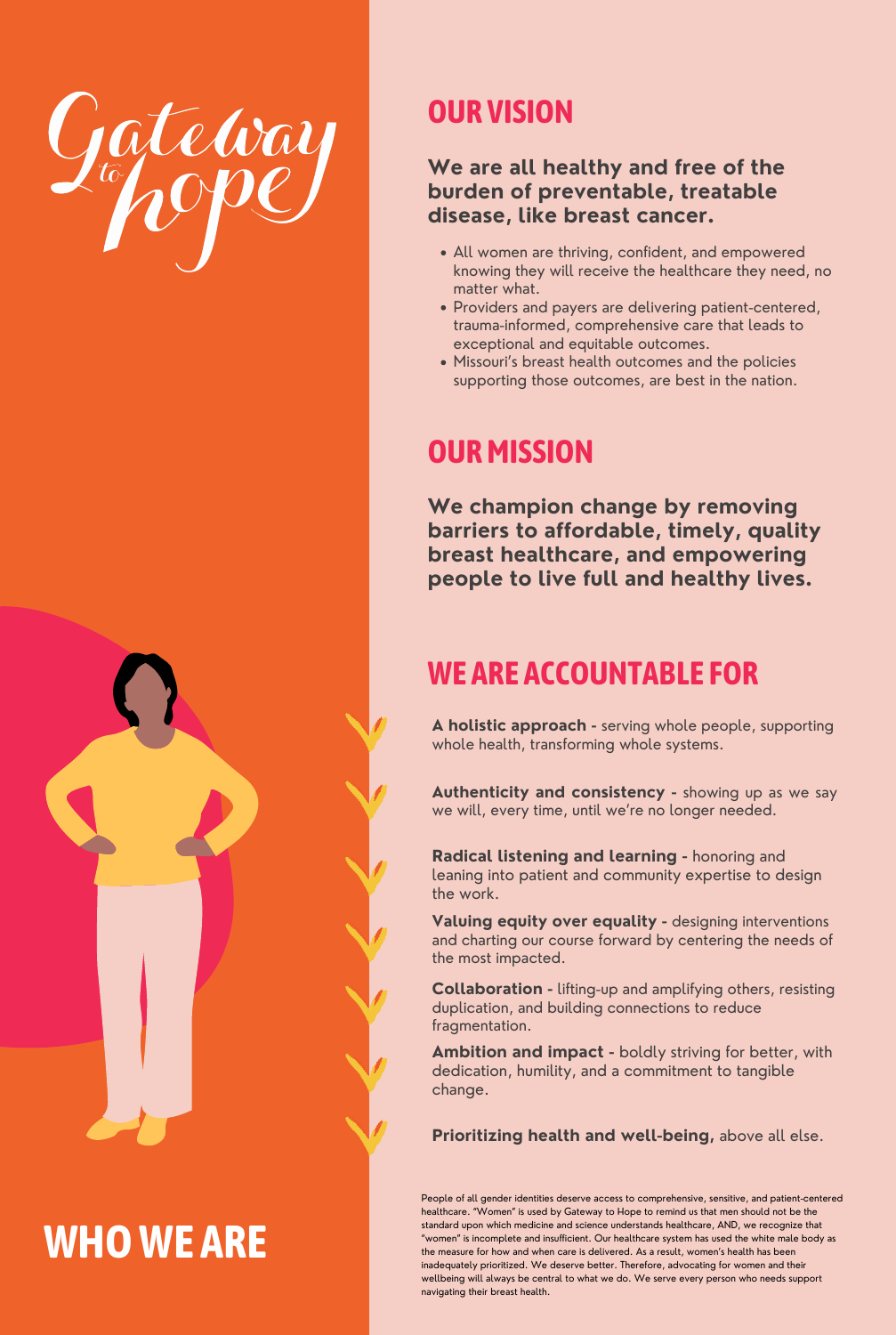- All women are thriving, confident, and empowered knowing they will receive the healthcare they need, no matter what.
- Providers and payers are delivering patient-centered, trauma-informed, comprehensive care that leads to exceptional and equitable outcomes.
- Missouri's breast health outcomes and the policies supporting those outcomes, are best in the nation.



### **OUR VISION**

#### **We are all healthy and free of the burden of preventable, treatable disease, like breast cancer.**

#### **OURMISSION**



**We champion change by removing barriers to affordable, timely, quality breast healthcare, and empowering people to live full and healthy lives.**

## **WE ARE ACCOUNTABLE FOR**

**A holistic approach -** serving whole people, supporting whole health, transforming whole systems.

**Authenticity and consistency -** showing up as we say we will, every time, until we're no longer needed.

Valuing equity over equality - designing interventions and charting our course forward by centering the needs of the most impacted.

**Radical listening and learning -** honoring and leaning into patient and community expertise to design the work.

People of all gender identities deserve access to comprehensive, sensitive, and patient-centered healthcare. "Women" is used by Gateway to Hope to remind us that men should not be the standard upon which medicine and science understands healthcare, AND, we recognize that "women" is incomplete and insufficient. Our healthcare system has used the white male body as the measure for how and when care is delivered. As a result, women's health has been inadequately prioritized. We deserve better. Therefore, advocating for women and their wellbeing will always be central to what we do. We serve every person who needs support navigating their breast health.

**Collaboration -** lifting-up and amplifying others, resisting duplication, and building connections to reduce fragmentation.

**Ambition and impact -** boldly striving for better, with dedication, humility, and a commitment to tangible change.

#### **Prioritizing health and well-being,** above all else.

# **WHOWE ARE**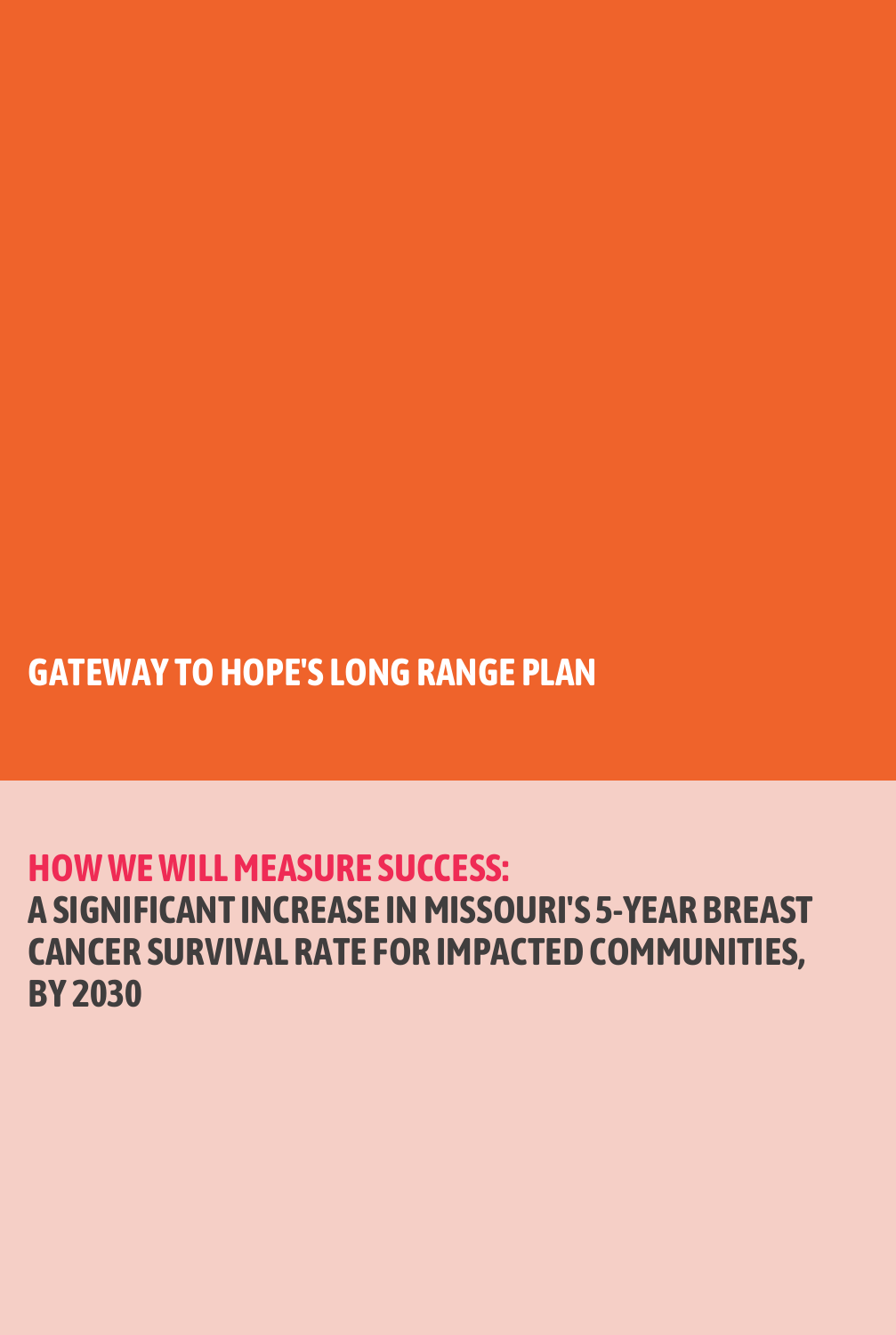# **HOWWEWILLMEASURE SUCCESS: A SIGNIFICANT INCREASE INMISSOURI'S 5-YEAR BREAST CANCER SURVIVAL RATE FOR IMPACTED COMMUNITIES, BY 2030**

# **GATEWAY TOHOPE'S LONGRANGE PLAN**

- -
- 
- 
- -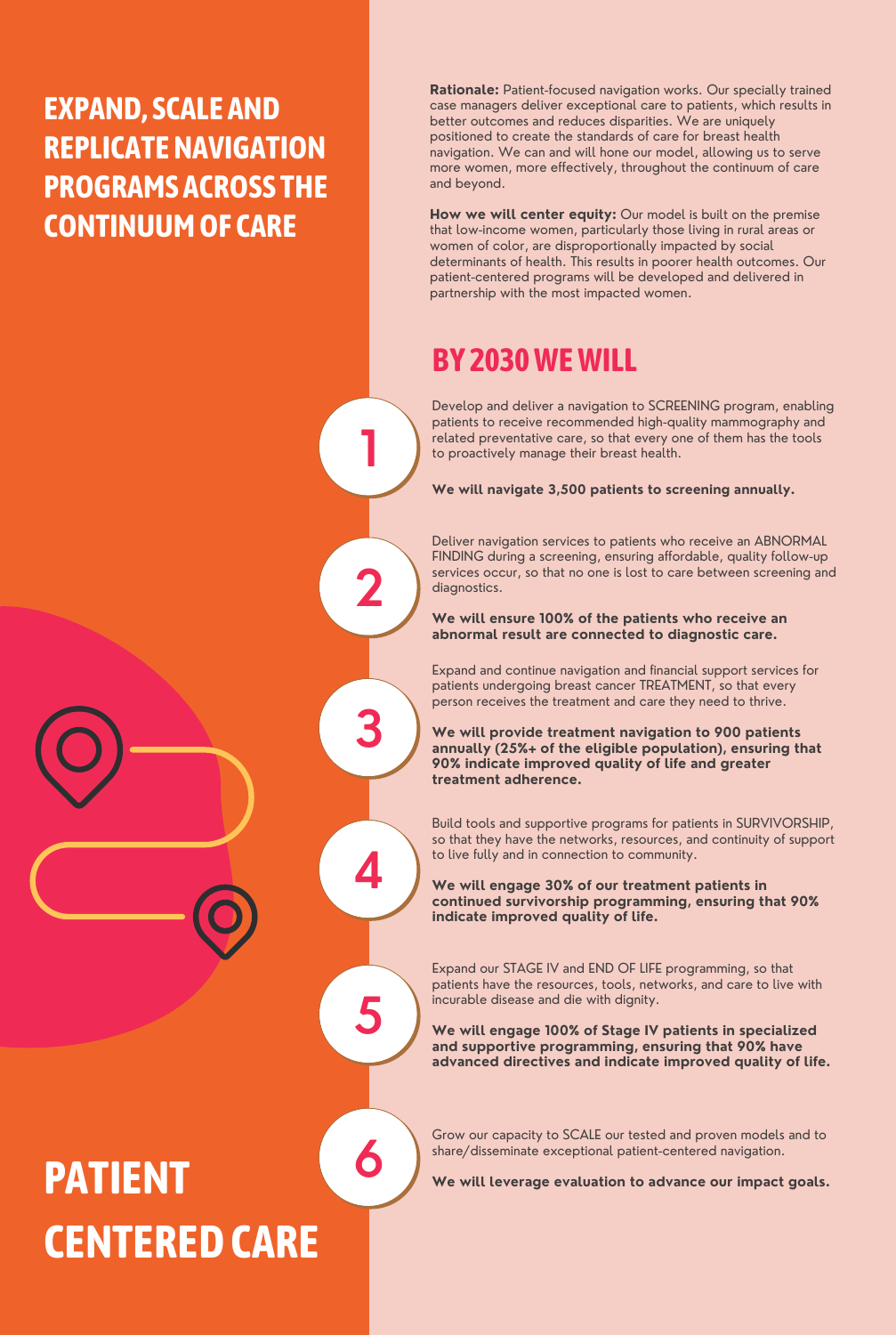**2**

**3**

**4**

**5**

## **EXPAND, SCALE AND REPLICATENAVIGATION PROGRAMS ACROSS THE CONTINUUMOF CARE**

Develop and deliver a navigation to SCREENING program, enabling patients to receive recommended high-quality mammography and related preventative care, so that every one of them has the tools to proactively manage their breast health.

**We will navigate 3,500 patients to screening annually.**

# **PATIENT CENTEREDCARE**

Deliver navigation services to patients who receive an ABNORMAL FINDING during a screening, ensuring affordable, quality follow-up services occur, so that no one is lost to care between screening and diagnostics.

#### **We will ensure 100% of the patients who receive an abnormal result are connected to diagnostic care.**

Expand and continue navigation and financial support services for patients undergoing breast cancer TREATMENT, so that every person receives the treatment and care they need to thrive.

**We will provide treatment navigation to 900 patients annually (25%+ of the eligible population), ensuring that 90% indicate improved quality of life and greater treatment adherence.**

Build tools and supportive programs for patients in SURVIVORSHIP, so that they have the networks, resources, and continuity of support to live fully and in connection to community.

**We will engage 30% of our treatment patients in continued survivorship programming, ensuring that 90%**

#### **indicate improved quality of life.**

Expand our STAGE IV and END OF LIFE programming, so that patients have the resources, tools, networks, and care to live with incurable disease and die with dignity.

**We will engage 100% of Stage IV patients in specialized and supportive programming, ensuring that 90% have advanced directives and indicate improved quality of life.**

**6**

Grow our capacity to SCALE our tested and proven models and to share/disseminate exceptional patient-centered navigation.

**We will leverage evaluation to advance our impact goals.**

**Rationale:** Patient-focused navigation works. Our specially trained case managers deliver exceptional care to patients, which results in better outcomes and reduces disparities. We are uniquely positioned to create the standards of care for breast health navigation. We can and will hone our model, allowing us to serve more women, more effectively, throughout the continuum of care and beyond.

**How we will center equity:** Our model is built on the premise that low-income women, particularly those living in rural areas or women of color, are disproportionally impacted by social determinants of health. This results in poorer health outcomes. Our patient-centered programs will be developed and delivered in partnership with the most impacted women.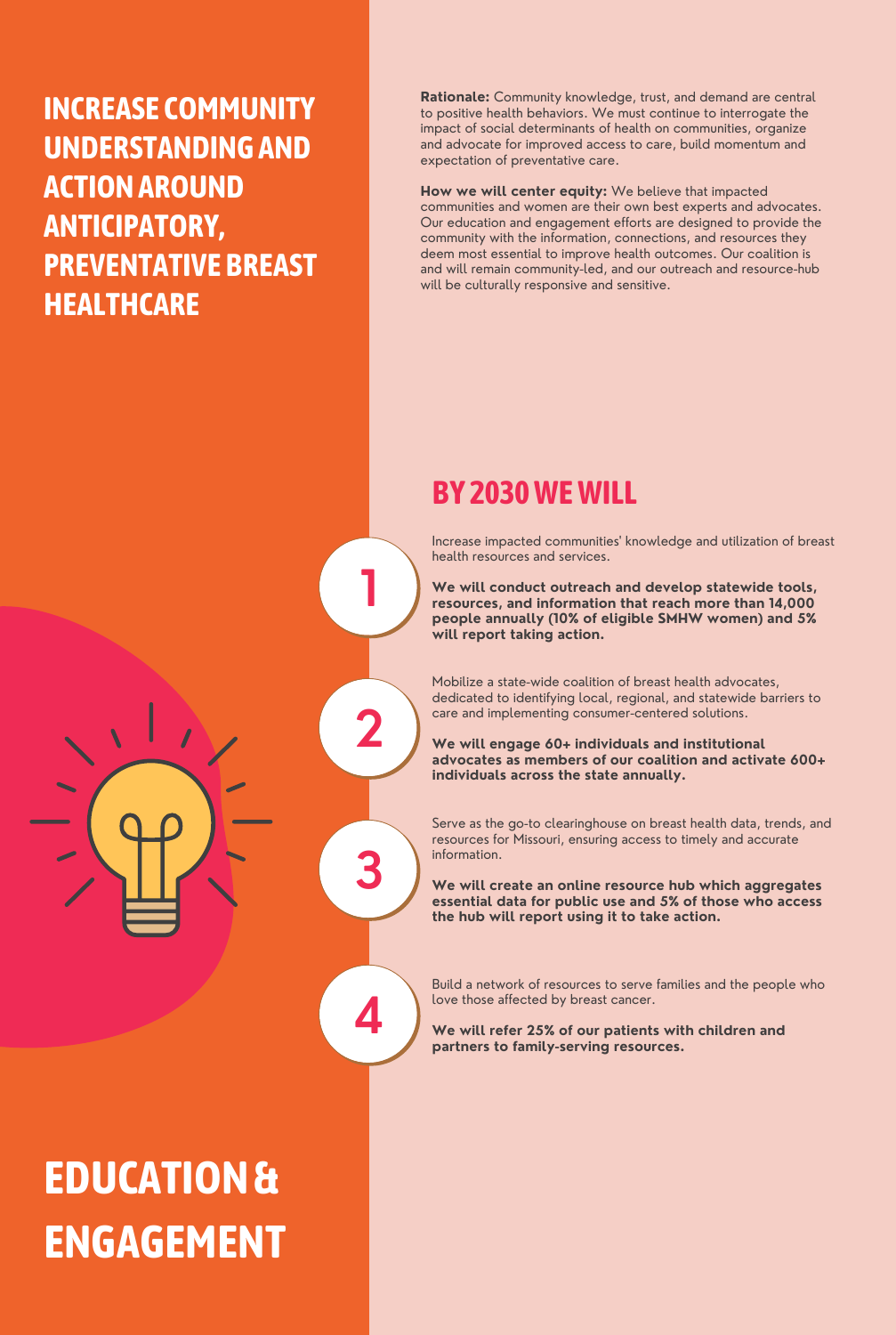**2**

**3**

**4**

**INCREASE COMMUNITY UNDERSTANDINGAND ACTIONAROUND ANTICIPATORY, PREVENTATIVE BREAST HEALTHCARE**

**EDUCATION& ENGAGEMENT**

Increase impacted communities ' knowledge and utilization of breast health resources and services.

**We will conduct outreach and develop statewide tools, resources, and information that reach more than 14,000 people annually (10% of eligible SMHW women) and 5% will report taking action.**

Mobilize a state-wide coalition of breast health advocates, dedicated to identifying local, regional, and statewide barriers to care and implementing consumer-centered solutions.

**We will engage 60+ individuals and institutional advocates as members of our coalition and activate 600+ individuals across the state annually.**

Serve as the go-to clearinghouse on breast health data, trends, and resources for Missouri, ensuring access to timely and accurate information.

**We will create an online resource hub which aggregates essential data for public use and 5% of those who access the hub will report using it to take action.**

Build a network of resources to serve families and the people who

love those affected by breast cancer.

**We will refer 25% of our patients with children and partners to family-serving resources.**

**Rationale:** Community knowledge, trust, and demand are central to positive health behaviors. We must continue to interrogate the impact of social determinants of health on communities, organize and advocate for improved access to care, build momentum and expectation of preventative care.

**How we will center equity:** We believe that impacted communities and women are their own best experts and advocates. Our education and engagement efforts are designed to provide the community with the information, connections, and resources they deem most essential to improve health outcomes. Our coalition is and will remain community-led, and our outreach and resource-hub will be culturally responsive and sensitive.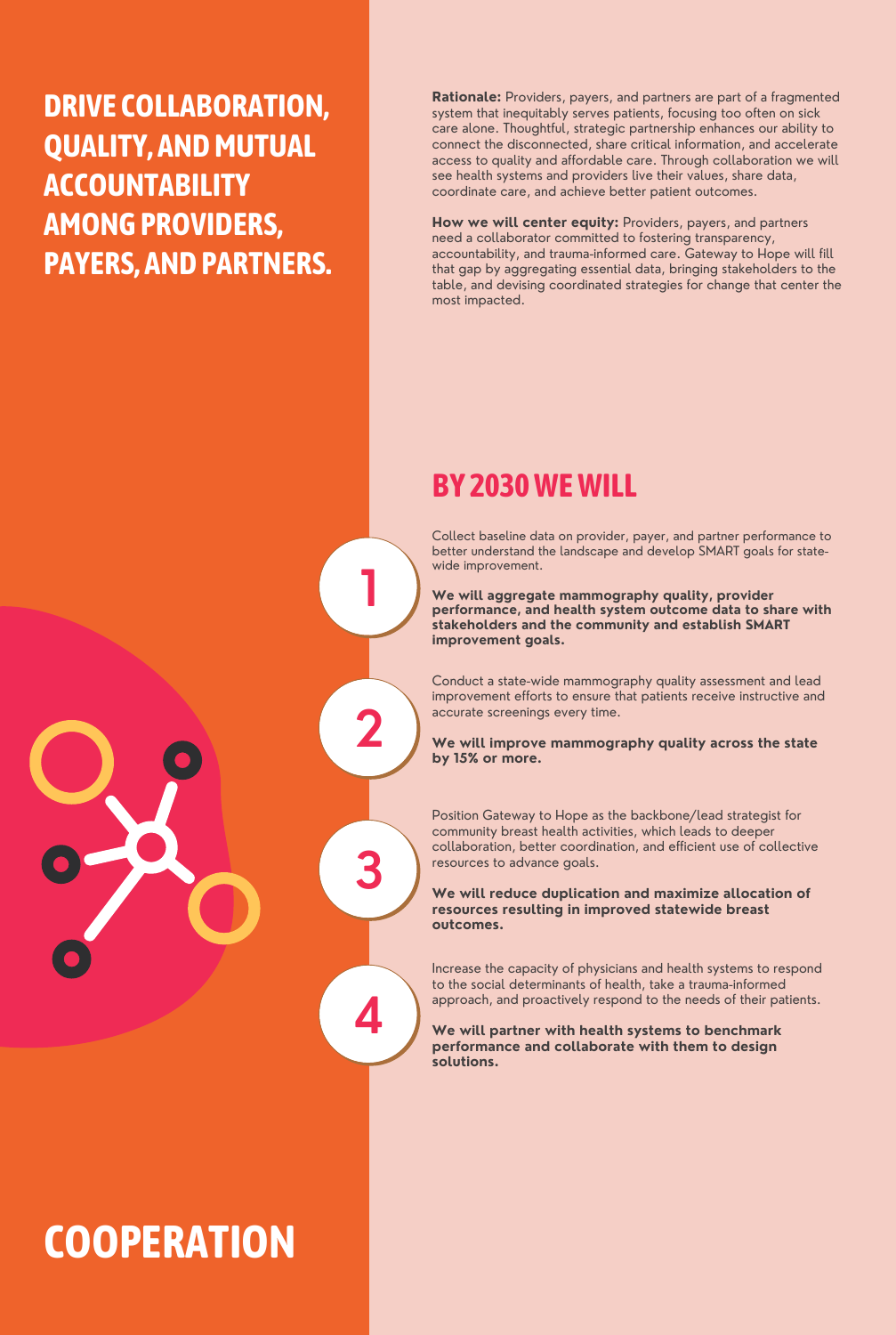## **DRIVE COLLABORATION, QUALITY, AND MUTUAL ACCOUNTABILITY AMONGPROVIDERS, PAYERS, ANDPARTNERS.**

Collect baseline data on provider, payer, and partner performance to better understand the landscape and develop SMART goals for statewide improvement.

**We will aggregate mammography quality, provider performance, and health system outcome data to share with stakeholders and the community and establish SMART improvement goals.**

# **COOPERATION**

Conduct a state-wide mammography quality assessment and lead improvement efforts to ensure that patients receive instructive and accurate screenings every time.

**We will improve mammography quality across the state by 15% or more.**

Increase the capacity of physicians and health systems to respond to the social determinants of health, take a trauma-informed approach, and proactively respond to the needs of their patients.

**We will partner with health systems to benchmark performance and collaborate with them to design solutions.**

**Rationale:** Providers, payers, and partners are part of a fragmented system that inequitably serves patients, focusing too often on sick care alone. Thoughtful, strategic partnership enhances our ability to connect the disconnected, share critical information, and accelerate access to quality and affordable care. Through collaboration we will see health systems and providers live their values, share data, coordinate care, and achieve better patient outcomes.

**How we will center equity:** Providers, payers, and partners need a collaborator committed to fostering transparency, accountability, and trauma-informed care. Gateway to Hope will fill that gap by aggregating essential data, bringing stakeholders to the table, and devising coordinated strategies for change that center the most impacted.

Position Gateway to Hope as the backbone/lead strategist for community breast health activities, which leads to deeper collaboration, better coordination, and efficient use of collective resources to advance goals.

**We will reduce duplication and maximize allocation of resources resulting in improved statewide breast outcomes.**

#### **BY 2030WEWILL**

**1**

**2**

**3**

**4**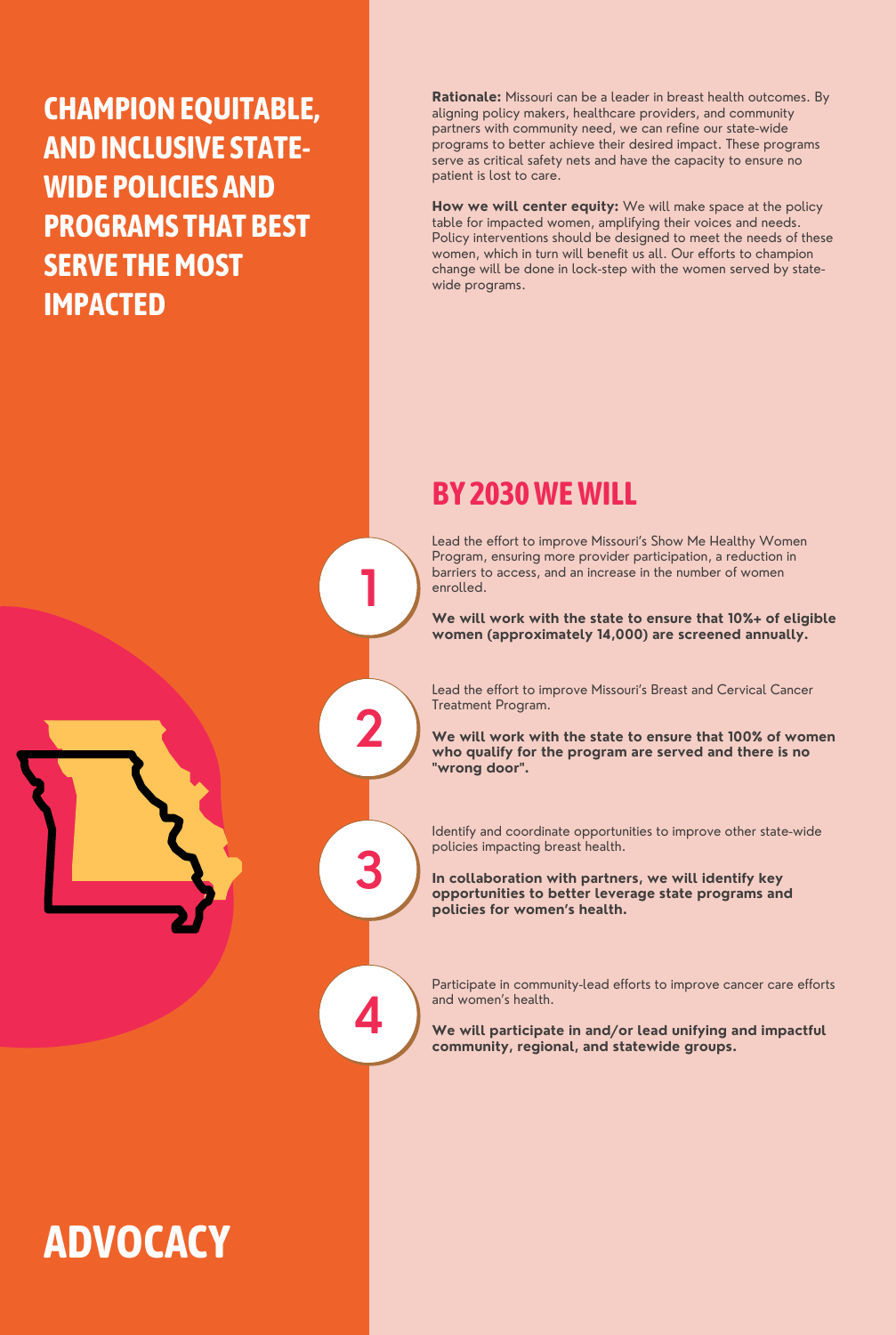**2**

**3**

**4**

**CHAMPIONEQUITABLE, ANDINCLUSIVE STATE-WIDE POLICIES AND PROGRAMS THAT BEST SERVE THE MOST IMPACTED**

# **ADVOCACY**

Lead the effort to improve Missouri's Show Me Healthy Women Program, ensuring more provider participation, a reduction in barriers to access, and an increase in the number of women enrolled.

Identify and coordinate opportunities to improve other state-wide policies impacting breast health.

**We will work with the state to ensure that 10%+ of eligible women (approximately 14,000) are screened annually.**

Lead the effort to improve Missouri's Breast and Cervical Cancer Treatment Program.

**We will work with the state to ensure that 100% of women who qualify for the program are served and there is no "wrong door" .**

**In collaboration with partners, we will identify key opportunities to better leverage state programs and policies for women's health.**

Participate in community-lead efforts to improve cancer care efforts and women's health.

**We will participate in and/or lead unifying and impactful community, regional, and statewide groups.**

**Rationale:** Missouri can be a leader in breast health outcomes. By aligning policy makers, healthcare providers, and community partners with community need, we can refine our state-wide programs to better achieve their desired impact. These programs serve as critical safety nets and have the capacity to ensure no patient is lost to care.

**How we will center equity:** We will make space at the policy table for impacted women, amplifying their voices and needs. Policy interventions should be designed to meet the needs of these women, which in turn will benefit us all. Our efforts to champion change will be done in lock-step with the women served by statewide programs.